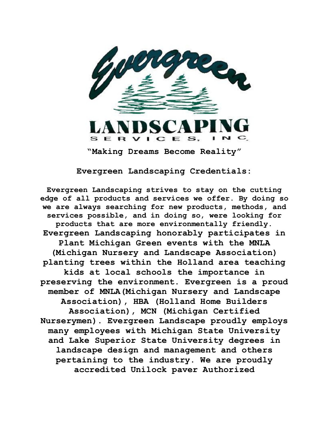

**Evergreen Landscaping Credentials:**

**Evergreen Landscaping strives to stay on the cutting edge of all products and services we offer. By doing so we are always searching for new products, methods, and services possible, and in doing so, were looking for products that are more environmentally friendly. Evergreen Landscaping honorably participates in Plant Michigan Green events with the MNLA (Michigan Nursery and Landscape Association) planting trees within the Holland area teaching kids at local schools the importance in preserving the environment. Evergreen is a proud member of MNLA(Michigan Nursery and Landscape Association), HBA (Holland Home Builders Association), MCN (Michigan Certified Nurserymen). Evergreen Landscape proudly employs many employees with Michigan State University and Lake Superior State University degrees in landscape design and management and others pertaining to the industry. We are proudly accredited Unilock paver Authorized**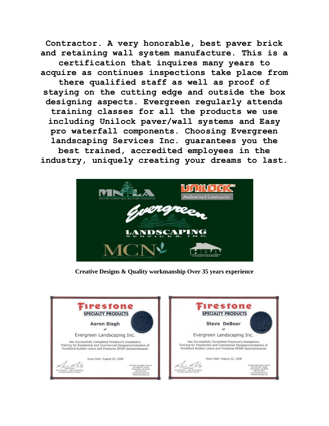**Contractor. A very honorable, best paver brick and retaining wall system manufacture. This is a certification that inquires many years to acquire as continues inspections take place from there qualified staff as well as proof of staying on the cutting edge and outside the box designing aspects. Evergreen regularly attends training classes for all the products we use including Unilock paver/wall systems and Easy pro waterfall components. Choosing Evergreen landscaping Services Inc. guarantees you the best trained, accredited employees in the industry, uniquely creating your dreams to last.**



**Creative Designs & Quality workmanship Over 35 years experience**

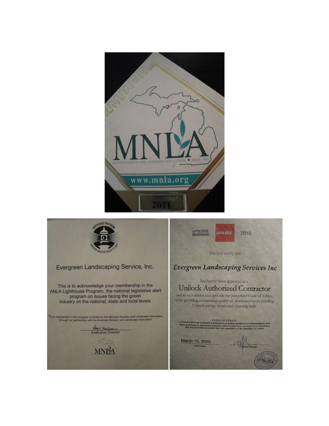